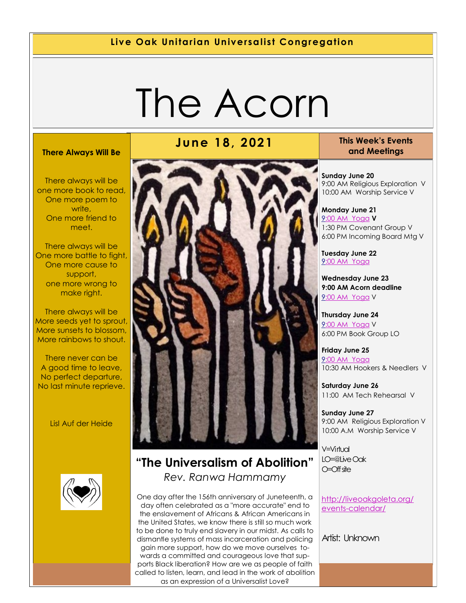#### **Live Oak Unitarian Universalist Congregation**

# The Acorn

#### **There Always Will Be**

There always will be one more book to read, One more poem to write. One more friend to meet.

There always will be One more battle to fight, One more cause to support, one more wrong to make right.

There always will be More seeds yet to sprout, More sunsets to blossom, More rainbows to shout.

There never can be A good time to leave, No perfect departure, No last minute reprieve.

Lisl Auf der Heide



# **June 18, 2021 This Week's Events**



#### **"The Universalism of Abolition"** *Rev. Ranwa Hammamy*

One day after the 156th anniversary of Juneteenth, a day often celebrated as a "more accurate" end to the enslavement of Africans & African Americans in the United States, we know there is still so much work to be done to truly end slavery in our midst. As calls to dismantle systems of mass incarceration and policing gain more support, how do we move ourselves towards a committed and courageous love that supports Black liberation? How are we as people of faith called to listen, learn, and lead in the work of abolition as an expression of a Universalist Love?

# **and Meetings**

**Sunday June 20** 9:00 AM Religious Exploration V 10:00 AM Worship Service V

**Monday June 21** [9:](https://us02web.zoom.us/meeting/register/tZ0pc-6qrTwqH9WUfmrB_nZu0MWqJ8CyS3Uw)[00 AM Yoga](https://us02web.zoom.us/j/86278199291?pwd=WUh1MFJyVXNVOTIyQ1NmanJoSmNXQT09) **V** 1:30 PM Covenant Group V 6:00 PM Incoming Board Mtg V

**Tuesday June 22** [9:](https://us02web.zoom.us/meeting/register/tZ0pc-6qrTwqH9WUfmrB_nZu0MWqJ8CyS3Uw)[00 AM Yoga](https://us02web.zoom.us/j/86278199291?pwd=WUh1MFJyVXNVOTIyQ1NmanJoSmNXQT09)

**Wednesday June 23 9:00 AM Acorn deadline** [9:](https://us02web.zoom.us/meeting/register/tZ0pc-6qrTwqH9WUfmrB_nZu0MWqJ8CyS3Uw)[00 AM Yoga](https://us02web.zoom.us/j/86278199291?pwd=WUh1MFJyVXNVOTIyQ1NmanJoSmNXQT09) V

**Thursday June 24** [9:](https://us02web.zoom.us/meeting/register/tZ0pc-6qrTwqH9WUfmrB_nZu0MWqJ8CyS3Uw)[00 AM Yoga](https://us02web.zoom.us/j/86278199291?pwd=WUh1MFJyVXNVOTIyQ1NmanJoSmNXQT09) V 6:00 PM Book Group LO

**Friday June 25** [9:](https://us02web.zoom.us/meeting/register/tZ0pc-6qrTwqH9WUfmrB_nZu0MWqJ8CyS3Uw)[00 AM Yoga](https://us02web.zoom.us/j/86278199291?pwd=WUh1MFJyVXNVOTIyQ1NmanJoSmNXQT09) 10:30 AM Hookers & Needlers V

**Saturday June 26** 11:00 AM Tech Rehearsal V

**Sunday June 27** 9:00 AM Religious Exploration V 10:00 A.M Worship Service V

V=Virtual LO=@Live Oak O=Off site

[http://liveoakgoleta.org/](http://liveoakgoleta.org/events-calendar/) [events-calendar/](http://liveoakgoleta.org/events-calendar/)

Artist: Unknown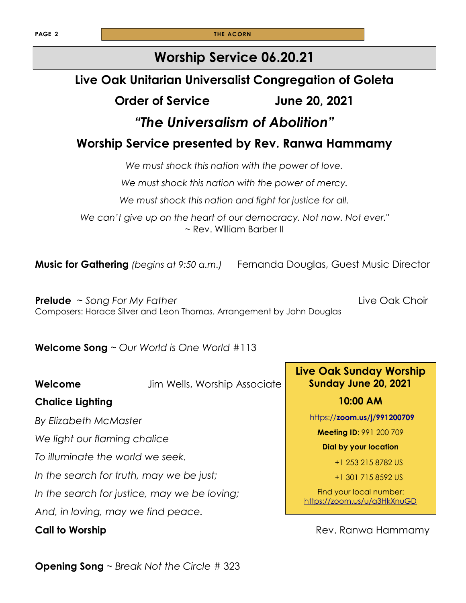**PAGE 2 THE ACORN** 

### **Worship Service 06.20.21**

# **Live Oak Unitarian Universalist Congregation of Goleta**

### **Order of Service June 20, 2021**

# *"The Universalism of Abolition"*

### **Worship Service presented by Rev. Ranwa Hammamy**

*We must shock this nation with the power of love.* 

*We must shock this nation with the power of mercy.*

*We must shock this nation and fight for justice for all.*

*We can't give up on the heart of our democracy. Not now. Not ever."*  ~ Rev. William Barber II

**Music for Gathering** *(begins at 9:50 a.m.)* Fernanda Douglas, Guest Music Director

**Prelude** ~ *Song For My Father* **Live Oak Choir Live Oak Choir** Composers: Horace Silver and Leon Thomas. Arrangement by John Douglas

**Welcome Song** ~ *Our World is One World* #113

**Welcome** Jim Wells, Worship Associate

#### **Chalice Lighting**

*By Elizabeth McMaster*

*We light our flaming chalice*

*To illuminate the world we seek.*

*In the search for truth, may we be just;*

*In the search for justice, may we be loving;*

*And, in loving, may we find peace.*

**Live Oak Sunday Worship Sunday June 20, 2021**

**10:00 AM**

https://**[zoom.us/j/991200709](https://zoom.us/j/991200709)**

**Meeting ID**: 991 200 709

**Dial by your location** 

+1 253 215 8782 US

+1 301 715 8592 US

Find your local number: <https://zoom.us/u/a3HkXnuGD>

**Call to Worship Call to Worship 2008 Call to Worship 2008 Rev. Ranwa Hammamy** 

**Opening Song** ~ *Break Not the Circle* # 323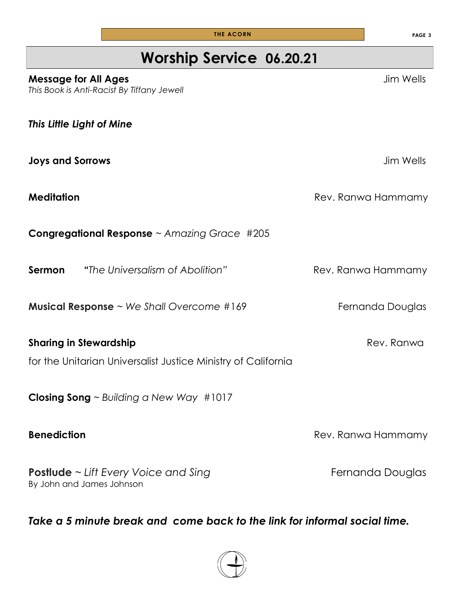| <b>Worship Service 06.20.21</b>                                           |                    |
|---------------------------------------------------------------------------|--------------------|
| <b>Message for All Ages</b><br>This Book is Anti-Racist By Tiffany Jewell | Jim Wells          |
| This Little Light of Mine                                                 |                    |
| <b>Joys and Sorrows</b>                                                   | Jim Wells          |
| <b>Meditation</b>                                                         | Rev. Ranwa Hammamy |
| <b>Congregational Response</b> $\sim$ Amazing Grace #205                  |                    |

**Sermon** "The Universalism of Abolition" **Rev. Ranwa Hammamy** 

**Musical Response** ~ We Shall Overcome #169 Fernanda Douglas

**Sharing in Stewardship** *Rev. Ranwa* Rev. Ranwa for the Unitarian Universalist Justice Ministry of California

**Closing Song** ~ *Building a New Way* #1017

**Postlude** ~ Lift Every Voice and Sing **Fernanda Douglas Fernanda Douglas** By John and James Johnson

*Take a 5 minute break and come back to the link for informal social time.*



**THE ACORN PAGE 3** 

**Benediction Benediction Rev. Ranwa Hammamy**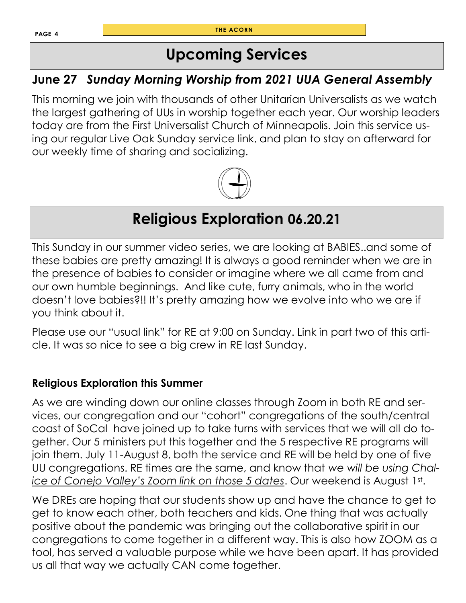**T HE ACORN**

# **Upcoming Services**

## **June 27** *Sunday Morning Worship from 2021 UUA General Assembly*

This morning we join with thousands of other Unitarian Universalists as we watch the largest gathering of UUs in worship together each year. Our worship leaders today are from the First Universalist Church of Minneapolis. Join this service using our regular Live Oak Sunday service link, and plan to stay on afterward for our weekly time of sharing and socializing.



# **Religious Exploration 06.20.21**

This Sunday in our summer video series, we are looking at BABIES..and some of these babies are pretty amazing! It is always a good reminder when we are in the presence of babies to consider or imagine where we all came from and our own humble beginnings. And like cute, furry animals, who in the world doesn't love babies?!! It's pretty amazing how we evolve into who we are if you think about it.

Please use our "usual link" for RE at 9:00 on Sunday. Link in part two of this article. It was so nice to see a big crew in RE last Sunday.

#### **Religious Exploration this Summer**

As we are winding down our online classes through Zoom in both RE and services, our congregation and our "cohort" congregations of the south/central coast of SoCal have joined up to take turns with services that we will all do together. Our 5 ministers put this together and the 5 respective RE programs will join them. July 11-August 8, both the service and RE will be held by one of five UU congregations. RE times are the same, and know that *we will be using Chalice of Conejo Valley's Zoom link on those 5 dates*. Our weekend is August 1st .

We DREs are hoping that our students show up and have the chance to get to get to know each other, both teachers and kids. One thing that was actually positive about the pandemic was bringing out the collaborative spirit in our congregations to come together in a different way. This is also how ZOOM as a tool, has served a valuable purpose while we have been apart. It has provided us all that way we actually CAN come together.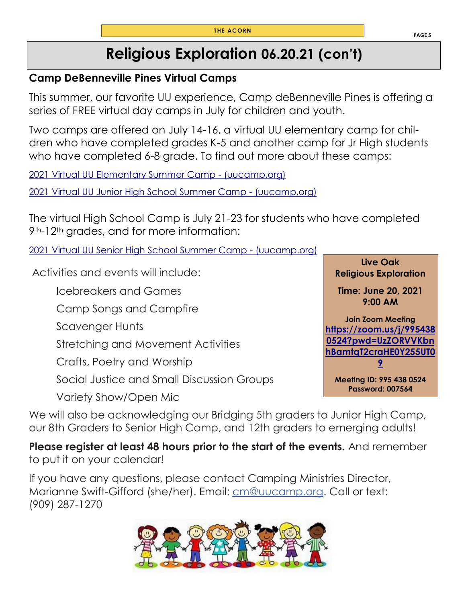# **Religious Exploration 06.20.21 (con't)**

#### **Camp DeBenneville Pines Virtual Camps**

This summer, our favorite UU experience, Camp deBenneville Pines is offering a series of FREE virtual day camps in July for children and youth.

Two camps are offered on July 14-16, a virtual UU elementary camp for children who have completed grades K-5 and another camp for Jr High students who have completed 6-8 grade. To find out more about these camps:

[2021 Virtual UU Elementary Summer Camp -](https://www.uucamp.org/camps-retreats/youth-camps/2021-virtual-uu-elementary-summer-camp/?blm_aid=32376) (uucamp.org)

[2021 Virtual UU Junior High School Summer Camp -](https://www.uucamp.org/camps-retreats/youth-camps/2021-virtual-uu-junior-high-school-summer-camp-2/?blm_aid=32376) (uucamp.org)

The virtual High School Camp is July 21-23 for students who have completed 9<sup>th</sup>-12<sup>th</sup> grades, and for more information:

[2021 Virtual UU Senior High School Summer Camp -](https://www.uucamp.org/camps-retreats/youth-camps/2021-virtual-uu-senior-high-school-summer-camp/?blm_aid=32376) (uucamp.org)

Activities and events will include:

Icebreakers and Games

Camp Songs and Campfire

Scavenger Hunts

Stretching and Movement Activities

Crafts, Poetry and Worship

Social Justice and Small Discussion Groups

Variety Show/Open Mic

**Time: June 20, 2021 9:00 AM Join Zoom Meeting [https://zoom.us/j/995438](https://zoom.us/j/9954380524?pwd=UzZORVVKbnhBamtqT2craHE0Y255UT09) [0524?pwd=UzZORVVKbn](https://zoom.us/j/9954380524?pwd=UzZORVVKbnhBamtqT2craHE0Y255UT09) [hBamtqT2craHE0Y255UT0](https://zoom.us/j/9954380524?pwd=UzZORVVKbnhBamtqT2craHE0Y255UT09) [9](https://zoom.us/j/9954380524?pwd=UzZORVVKbnhBamtqT2craHE0Y255UT09)**

**Live Oak Religious Exploration** 

**Meeting ID: 995 438 0524 Password: 007564** 

We will also be acknowledging our Bridging 5th graders to Junior High Camp, our 8th Graders to Senior High Camp, and 12th graders to emerging adults!

**Please register at least 48 hours prior to the start of the events.** And remember to put it on your calendar!

If you have any questions, please contact Camping Ministries Director, Marianne Swift-Gifford (she/her). Email: [cm@uucamp.org.](mailto:cm@uucamp.org) Call or text: (909) 287-1270



**PAGE 5**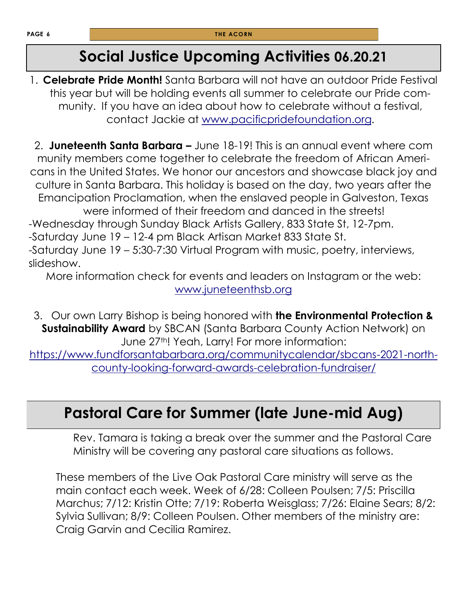# **Social Justice Upcoming Activities 06.20.21**

1. **Celebrate Pride Month!** Santa Barbara will not have an outdoor Pride Festival this year but will be holding events all summer to celebrate our Pride community. If you have an idea about how to celebrate without a festival, contact Jackie at [www.pacificpridefoundation.org.](http://www.pacificpridefoundation.org) 

2. **Juneteenth Santa Barbara –** June 18-19! This is an annual event where com munity members come together to celebrate the freedom of African Americans in the United States. We honor our ancestors and showcase black joy and culture in Santa Barbara. This holiday is based on the day, two years after the Emancipation Proclamation, when the enslaved people in Galveston, Texas were informed of their freedom and danced in the streets! -Wednesday through Sunday Black Artists Gallery, 833 State St, 12-7pm. -Saturday June 19 – 12-4 pm Black Artisan Market 833 State St. -Saturday June 19 – 5:30-7:30 Virtual Program with music, poetry, interviews, slideshow.

More information check for events and leaders on Instagram or the web: [www.juneteenthsb.org](http://www.juneteenthsb.org)

3. Our own Larry Bishop is being honored with **the Environmental Protection & Sustainability Award** by SBCAN (Santa Barbara County Action Network) on June 27<sup>th</sup>! Yeah, Larry! For more information:

[https://www.fundforsantabarbara.org/communitycalendar/sbcans-2021-north](https://www.fundforsantabarbara.org/communitycalendar/sbcans-2021-north-county-looking-forward-awards-celebration-fundraiser/)[county-looking-forward-awards-celebration-fundraiser/](https://www.fundforsantabarbara.org/communitycalendar/sbcans-2021-north-county-looking-forward-awards-celebration-fundraiser/)

# **Pastoral Care for Summer (late June-mid Aug)**

 Rev. Tamara is taking a break over the summer and the Pastoral Care Ministry will be covering any pastoral care situations as follows.

These members of the Live Oak Pastoral Care ministry will serve as the main contact each week. Week of 6/28: Colleen Poulsen; 7/5: Priscilla Marchus; 7/12: Kristin Otte; 7/19: Roberta Weisglass; 7/26: Elaine Sears; 8/2: Sylvia Sullivan; 8/9: Colleen Poulsen. Other members of the ministry are: Craig Garvin and Cecilia Ramirez.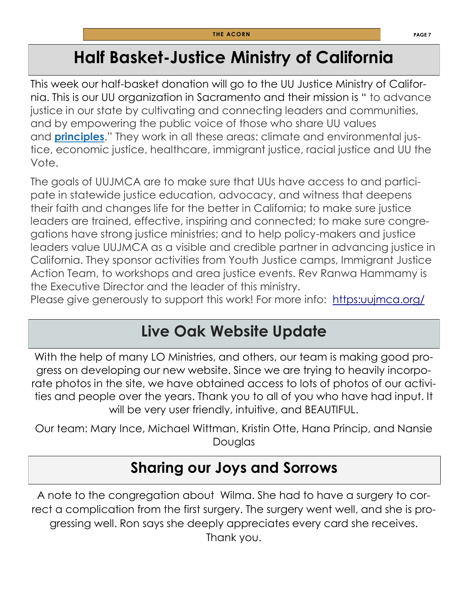# **Half Basket-Justice Ministry of California**

This week our half-basket donation will go to the UU Justice Ministry of California. This is our UU organization in Sacramento and their mission is " to advance justice in our state by cultivating and connecting leaders and communities, and by empowering the public voice of those who share UU values and **[principles](http://www.uua.org/aboutuua/principles.html)**." They work in all these areas: climate and environmental justice, economic justice, healthcare, immigrant justice, racial justice and UU the Vote.

The goals of UUJMCA are to make sure that UUs have access to and participate in statewide justice education, advocacy, and witness that deepens their faith and changes life for the better in California; to make sure justice leaders are trained, effective, inspiring and connected; to make sure congregations have strong justice ministries; and to help policy-makers and justice leaders value UUJMCA as a visible and credible partner in advancing justice in California. They sponsor activities from Youth Justice camps, Immigrant Justice Action Team, to workshops and area justice events. Rev Ranwa Hammamy is the Executive Director and the leader of this ministry.

Please give generously to support this work! For more info: https: uujmca.org/

# **Live Oak Website Update**

With the help of many LO Ministries, and others, our team is making good progress on developing our new website. Since we are trying to heavily incorporate photos in the site, we have obtained access to lots of photos of our activities and people over the years. Thank you to all of you who have had input. It will be very user friendly, intuitive, and BEAUTIFUL.

Our team: Mary Ince, Michael Wittman, Kristin Otte, Hana Princip, and Nansie Douglas

# **Sharing our Joys and Sorrows**

A note to the congregation about Wilma. She had to have a surgery to correct a complication from the first surgery. The surgery went well, and she is progressing well. Ron says she deeply appreciates every card she receives. Thank you.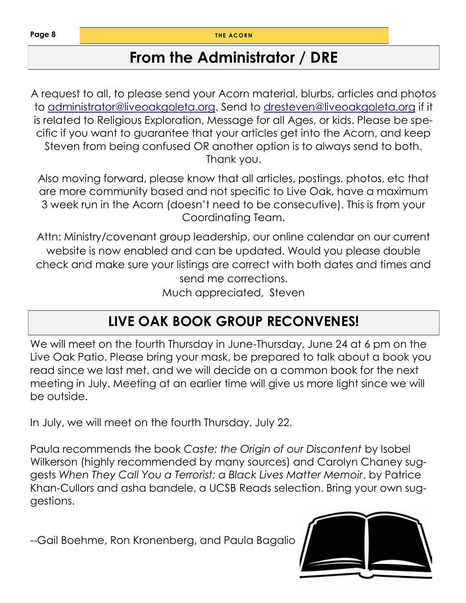**Page 8**

**THE ACORN** 

# **From the Administrator / DRE**

A request to all, to please send your Acorn material, blurbs, articles and photos to [administrator@liveoakgoleta.org.](mailto:administrator@liveoakgoleta.org) Send to [dresteven@liveoakgoleta.org](mailto:dresteven@liveoakgoleta.org) if it is related to Religious Exploration, Message for all Ages, or kids. Please be specific if you want to guarantee that your articles get into the Acorn, and keep Steven from being confused OR another option is to always send to both. Thank you.

Also moving forward, please know that all articles, postings, photos, etc that are more community based and not specific to Live Oak, have a maximum 3 week run in the Acorn (doesn't need to be consecutive). This is from your Coordinating Team.

Attn: Ministry/covenant group leadership, our online calendar on our current website is now enabled and can be updated. Would you please double check and make sure your listings are correct with both dates and times and send me corrections. Much appreciated, Steven

# **LIVE OAK BOOK GROUP RECONVENES!**

We will meet on the fourth Thursday in June-Thursday, June 24 at 6 pm on the Live Oak Patio. Please bring your mask, be prepared to talk about a book you read since we last met, and we will decide on a common book for the next meeting in July. Meeting at an earlier time will give us more light since we will be outside.

In July, we will meet on the fourth Thursday, July 22.

Paula recommends the book *Caste: the Origin of our Discontent* by Isobel Wilkerson (highly recommended by many sources) and Carolyn Chaney suggests *When They Call You a Terrorist: a Black Lives Matter Memoir*, by Patrice Khan-Cullors and asha bandele, a UCSB Reads selection. Bring your own suggestions.

--Gail Boehme, Ron Kronenberg, and Paula Bagalio

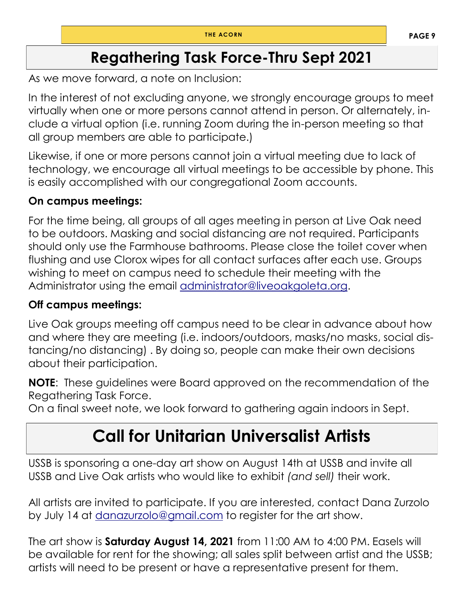# **Regathering Task Force-Thru Sept 2021**

As we move forward, a note on Inclusion:

In the interest of not excluding anyone, we strongly encourage groups to meet virtually when one or more persons cannot attend in person. Or alternately, include a virtual option (i.e. running Zoom during the in-person meeting so that all group members are able to participate.)

Likewise, if one or more persons cannot join a virtual meeting due to lack of technology, we encourage all virtual meetings to be accessible by phone. This is easily accomplished with our congregational Zoom accounts.

#### **On campus meetings:**

For the time being, all groups of all ages meeting in person at Live Oak need to be outdoors. Masking and social distancing are not required. Participants should only use the Farmhouse bathrooms. Please close the toilet cover when flushing and use Clorox wipes for all contact surfaces after each use. Groups wishing to meet on campus need to schedule their meeting with the Administrator using the email [administrator@liveoakgoleta.org.](mailto:administrator@liveoakgoleta.org) 

#### **Off campus meetings:**

Live Oak groups meeting off campus need to be clear in advance about how and where they are meeting (i.e. indoors/outdoors, masks/no masks, social distancing/no distancing) . By doing so, people can make their own decisions about their participation.

**NOTE**: These guidelines were Board approved on the recommendation of the Regathering Task Force.

On a final sweet note, we look forward to gathering again indoors in Sept.

# **Call for Unitarian Universalist Artists**

USSB is sponsoring a one-day art show on August 14th at USSB and invite all USSB and Live Oak artists who would like to exhibit *(and sell)* their work.

All artists are invited to participate. If you are interested, contact Dana Zurzolo by July 14 at [danazurzolo@gmail.com](mailto:danazuzolo@gmail.com) to register for the art show.

The art show is **Saturday August 14, 2021** from 11:00 AM to 4:00 PM. Easels will be available for rent for the showing; all sales split between artist and the USSB; artists will need to be present or have a representative present for them.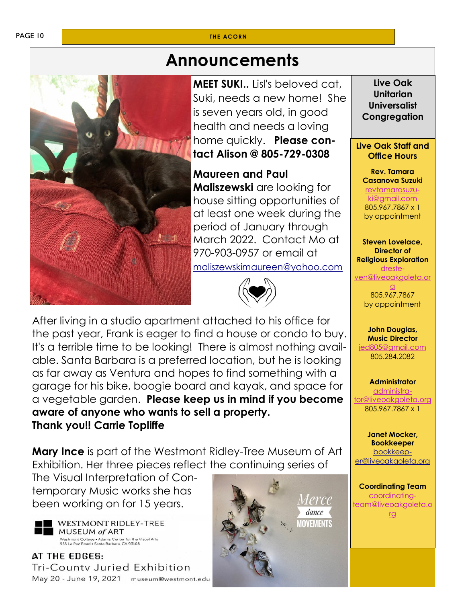#### **THE ACORN**



# **Announcements**

**MEET SUKI..** Lisl's beloved cat, Suki, needs a new home! She is seven years old, in good health and needs a loving home quickly. **Please contact Alison @ 805-729-0308**

**Maureen and Paul** 

**Maliszewski** are looking for house sitting opportunities of at least one week during the period of January through March 2022. Contact Mo at 970-903-0957 or email at [maliszewskimaureen@yahoo.com](mailto:maliszewskimaureen@yahoo.com)



After living in a studio apartment attached to his office for the past year, Frank is eager to find a house or condo to buy. It's a terrible time to be looking! There is almost nothing available. Santa Barbara is a preferred location, but he is looking as far away as Ventura and hopes to find something with a garage for his bike, boogie board and kayak, and space for a vegetable garden. **Please keep us in mind if you become aware of anyone who wants to sell a property. Thank you!! Carrie Topliffe** 

**Mary Ince** is part of the Westmont Ridley-Tree Museum of Art Exhibition. Her three pieces reflect the continuing series of

The Visual Interpretation of Contemporary Music works she has been working on for 15 years.



WESTMONT RIDLEY-TREE MUSEUM of ART Westmont College . Adams Center for the Visual Arts<br>955 La Paz Road . Santa Barbara, CA 93108

AT THE EDGES: Tri-Countv Juried Exhibition May 20 - June 19, 2021 museum@westmont.edu



**Live Oak Unitarian Universalist Congregation**

#### **Live Oak Staff and Office Hours**

**Rev. Tamara Casanova Suzuki** [revtamarasuzu-](mailto:revtamarasuzuki@gmail.com)

[ki@gmail.com](mailto:revtamarasuzuki@gmail.com) 805.967.7867 x 1 by appointment

**Steven Lovelace, Director of Religious Exploration** [dreste-](mailto:dresteven@liveoakgoleta.org)

ven@liveoakgoleta [g](mailto:dresteven@liveoakgoleta.org)

805.967.7867 by appointment

**John Douglas, Music Director** [jed805@gmail.com](mailto:jed805@gmail.com) 805.284.2082

**Administrator** [administra](mailto:administrator@liveoakgoleta.org)[tor@liveoakgoleta.org](mailto:administrator@liveoakgoleta.org) 805.967.7867 x 1

**Janet Mocker, Bookkeeper** [bookkeep](mailto:sbsurj@gmail.com)[er@liveoakgoleta.org](mailto:sbsurj@gmail.com)

**Coordinating Team** [coordinating](mailto:coordinatingteam@liveoakgoleta.org)[team@liveoakgoleta.o](mailto:coordinatingteam@liveoakgoleta.org) [rg](mailto:coordinatingteam@liveoakgoleta.org)